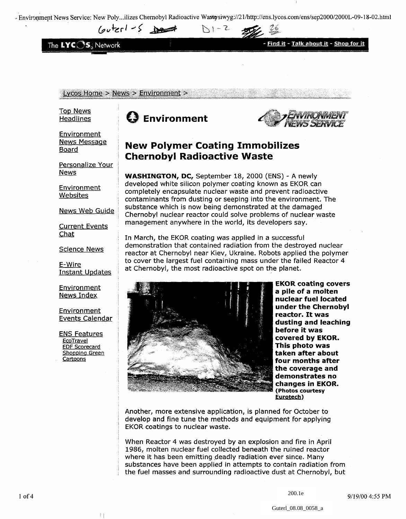- Environment News Service: New Poly...ilizes Chernobyl Radioactive Wastosiwyg://21/http://ens.lycos.com/ens/sep2000/2000L-09-18-02.html

 $N1 - 2$ 

 $I_{\text{out}}$   $\leq$   $\geq$ 

The LYC<sub>OS</sub>, Network



Lycos Home > News > Environment >

Top News Headlines

Environment News Message Board

Personalize Your **News** 

**Environment Websites** 

News Web Guide

Current Events Chat

Science News

E-Wire Instant Updates

Environment News Index

**Environment** Events Calendar

ENS Features **EcoTravel** EDF Scorecard Shopping Green Cartoons

 $\pm$  1

# **Environment**



## **New Polymer Coating Immobilizes Chernobyl Radioactive Waste**

**WASHINGTON, DC,** September 18, 2000 (ENS) - A newly developed white silicon polymer coating known as EKOR can completely encapsulate nuclear waste and prevent radioactive contaminants from dusting or seeping into the environment. The substance which is now being demonstrated at the damaged Chernobyl nuclear reactor could solve problems of nuclear waste management anywhere in the world, its developers say.

In March, the EKOR coating was applied in a successful demonstration that contained radiation from the destroyed nuclear reactor at Chernobyl near Kiev, Ukraine. Robots applied the polymer to cover the largest fuel containing mass under the failed Reactor 4 at Chernobyl, the most radioactive spot on the planet.



**EKOR coating covers a pile of a molten nuclear fuel located under the Chernobyl reactor. It was dusting and leaching before it was covered by EKOR. This photo was taken after about four months after the coverage and demonstrates no changes in EKOR. (Photos courtesy Eurotech')**

Another, more extensive application, is planned for October to develop and fine tune the methods and equipment for applying EKOR coatings to nuclear waste.

When Reactor 4 was destroyed by an explosion and fire in April 1986, molten nuclear fuel collected beneath the ruined reactor where it has been emitting deadly radiation ever since. Many substances have been applied in attempts to contain radiation from the fuel masses and surrounding radioactive dust at Chernobyl, but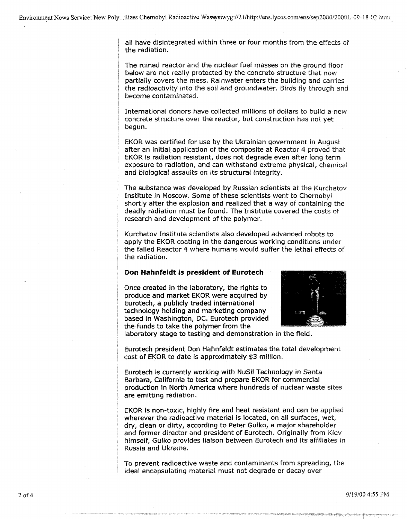all have disintegrated within three or four months from the effects of the radiation.

The ruined reactor and the nuclear fuel masses on the ground floor below are not really protected by the concrete structure that now partially covers the mess. Rainwater enters the building and carries the radioactivity into the soil and groundwater. Birds fly through and become contaminated.

International donors have collected millions of dollars to build a new concrete structure over the reactor, but construction has not yet begun.

EKOR was certified for use by the Ukrainian government in August after an initial application of the composite at Reactor 4 proved that EKOR is radiation resistant, does not degrade even after long term exposure to radiation, and can withstand extreme physical, chemical and biological assaults on its structural integrity.

The substance was developed by Russian scientists at the Kurchatov Institute in Moscow. Some of these scientists went to Chernobyl shortly after the explosion and realized that a way of containing the deadly radiation must be found. The Institute covered the costs of research and development of the polymer.

Kurchatov Institute scientists also developed advanced robots to. apply the EKOR coating in the dangerous working conditions under the failed Reactor 4 where humans would suffer the lethal effects of the radiation.

#### Don **Hahnfeldt is president of Eurotech**

Once created in the laboratory, the rights to produce and market EKOR were acquired by Eurotech, a publicly traded international technology holding and marketing company based in Washington, DC. Eurotech provided the funds to take the polymer from the



laboratory stage to testing and demonstration in the field.

Eurotech president Don Hahnfeldt estimates the total development cost of EKOR to date is approximately \$3 million.

Eurotech is currently working with NuSil Technology in Santa Barbara, California to test and prepare EKOR for commercial production in North America where hundreds of nuclear waste sites are emitting radiation.

EKOR is non-toxic, highly fire and heat resistant and can be applied wherever the radioactive material is located, on all surfaces, wet, dry, clean or dirty, according to Peter Gulko, a major shareholder and former director and president of Eurotech. Originally from Kiev himself, Gulko provides liaison between Eurotech and its affiliates in Russia and Ukraine,

To prevent radioactive waste and contaminants from spreading, the ideal encapsulating material must not degrade or decay over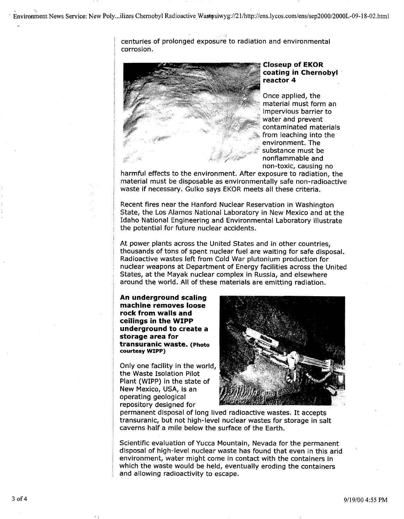centuries of prolonged exposure to radiation and environmental corrosion.



#### **Closeup of EKOR coating in Chernobyl reactor 4**

Once applied, the material must form an impervious barrier to water and prevent contaminated materials from leaching into the environment. The substance must be nonflammable and non-toxic, causing no

harmful effects to the environment. After exposure to radiation, the material must be disposable as environmentally safe non-radioactive waste if necessary. Gulko says EKOR meets all these criteria.

Recent fires near the Hanford Nuclear Reservation in Washington State, the Los Alamos National Laboratory in New Mexico and at the Idaho National Engineering and Environmental Laboratory illustrate the potential for future nuclear accidents.

At power plants across the United States and in other countries, thousands of tons of spent nuclear fuel are waiting for safe disposal. Radioactive wastes left from Cold War plutonium production for nuclear weapons at Department of Energy facilities across the United States, at the Mayak nuclear complex in Russia, and elsewhere around the world. All of these materials are emitting radiation.

**An underground scaling machine removes loose rock from walls and ceilings in the WIPP underground to create a storage area for transuranic waste.** (Photo **courtesy WIPP)**

Only one facility in the world, the Waste Isolation Pilot Plant (WIPP) in the state of New Mexico, USA, is an operating geological repository designed for



permanent disposal of long lived radioactive wastes. It accepts transuranic, but not high-level nuclear wastes for storage in salt caverns half a mile below the surface of the Earth.

Scientific evaluation of Yucca Mountain, Nevada for the permanent disposal of high-level nuclear waste has found that even in this arid environment, water might come in contact with the containers in which the waste would be held, eventually eroding the containers and allowing radioactivity to escape.